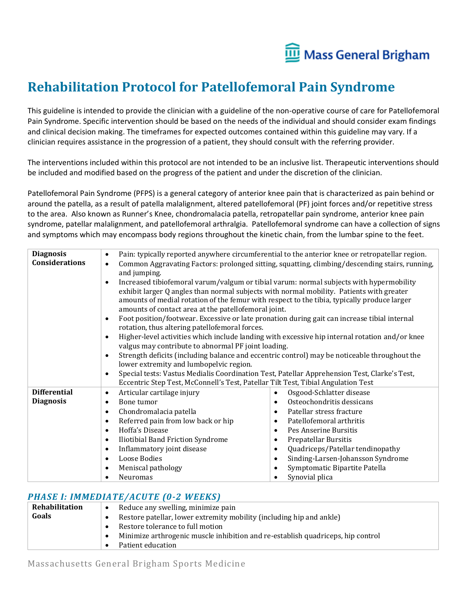

## **Rehabilitation Protocol for Patellofemoral Pain Syndrome**

This guideline is intended to provide the clinician with a guideline of the non-operative course of care for Patellofemoral Pain Syndrome. Specific intervention should be based on the needs of the individual and should consider exam findings and clinical decision making. The timeframes for expected outcomes contained within this guideline may vary. If a clinician requires assistance in the progression of a patient, they should consult with the referring provider.

The interventions included within this protocol are not intended to be an inclusive list. Therapeutic interventions should be included and modified based on the progress of the patient and under the discretion of the clinician.

Patellofemoral Pain Syndrome (PFPS) is a general category of anterior knee pain that is characterized as pain behind or around the patella, as a result of patella malalignment, altered patellofemoral (PF) joint forces and/or repetitive stress to the area. Also known as Runner's Knee, chondromalacia patella, retropatellar pain syndrome, anterior knee pain syndrome, patellar malalignment, and patellofemoral arthralgia. Patellofemoral syndrome can have a collection of signs and symptoms which may encompass body regions throughout the kinetic chain, from the lumbar spine to the feet.

| <b>Diagnosis</b><br><b>Considerations</b> | $\bullet$<br>$\bullet$<br>and jumping.<br>$\bullet$<br>exhibit larger Q angles than normal subjects with normal mobility. Patients with greater<br>amounts of medial rotation of the femur with respect to the tibia, typically produce larger | Pain: typically reported anywhere circumferential to the anterior knee or retropatellar region.<br>Common Aggravating Factors: prolonged sitting, squatting, climbing/descending stairs, running,<br>Increased tibiofemoral varum/valgum or tibial varum: normal subjects with hypermobility |
|-------------------------------------------|------------------------------------------------------------------------------------------------------------------------------------------------------------------------------------------------------------------------------------------------|----------------------------------------------------------------------------------------------------------------------------------------------------------------------------------------------------------------------------------------------------------------------------------------------|
|                                           | amounts of contact area at the patellofemoral joint.                                                                                                                                                                                           |                                                                                                                                                                                                                                                                                              |
|                                           | $\bullet$<br>rotation, thus altering patellofemoral forces.                                                                                                                                                                                    | Foot position/footwear. Excessive or late pronation during gait can increase tibial internal                                                                                                                                                                                                 |
|                                           | $\epsilon$<br>valgus may contribute to abnormal PF joint loading.                                                                                                                                                                              | Higher-level activities which include landing with excessive hip internal rotation and/or knee                                                                                                                                                                                               |
|                                           | lower extremity and lumbopelvic region.                                                                                                                                                                                                        | Strength deficits (including balance and eccentric control) may be noticeable throughout the                                                                                                                                                                                                 |
|                                           | $\bullet$<br>Eccentric Step Test, McConnell's Test, Patellar Tilt Test, Tibial Angulation Test                                                                                                                                                 | Special tests: Vastus Medialis Coordination Test, Patellar Apprehension Test, Clarke's Test,                                                                                                                                                                                                 |
| <b>Differential</b>                       | Articular cartilage injury<br>$\bullet$                                                                                                                                                                                                        | Osgood-Schlatter disease<br>$\bullet$                                                                                                                                                                                                                                                        |
| <b>Diagnosis</b>                          | Bone tumor<br>$\bullet$                                                                                                                                                                                                                        | Osteochondritis dessicans<br>$\bullet$                                                                                                                                                                                                                                                       |
|                                           | Chondromalacia patella<br>$\bullet$                                                                                                                                                                                                            | Patellar stress fracture<br>$\bullet$                                                                                                                                                                                                                                                        |
|                                           | Referred pain from low back or hip<br>$\bullet$                                                                                                                                                                                                | Patellofemoral arthritis<br>$\bullet$                                                                                                                                                                                                                                                        |
|                                           | Hoffa's Disease<br>$\bullet$                                                                                                                                                                                                                   | Pes Anserine Bursitis<br>$\bullet$                                                                                                                                                                                                                                                           |
|                                           | Iliotibial Band Friction Syndrome<br>$\bullet$                                                                                                                                                                                                 | Prepatellar Bursitis<br>$\bullet$                                                                                                                                                                                                                                                            |
|                                           | Inflammatory joint disease<br>$\bullet$                                                                                                                                                                                                        | Quadriceps/Patellar tendinopathy<br>$\bullet$                                                                                                                                                                                                                                                |
|                                           | Loose Bodies<br>$\bullet$                                                                                                                                                                                                                      | Sinding-Larsen-Johansson Syndrome<br>$\bullet$                                                                                                                                                                                                                                               |
|                                           | Meniscal pathology<br>$\bullet$                                                                                                                                                                                                                | Symptomatic Bipartite Patella<br>$\bullet$                                                                                                                                                                                                                                                   |
|                                           | Neuromas                                                                                                                                                                                                                                       | Synovial plica<br>$\bullet$                                                                                                                                                                                                                                                                  |

## *PHASE I: IMMEDIATE/ACUTE (0-2 WEEKS)*

| Rehabilitation | Reduce any swelling, minimize pain<br>$\bullet$                                   |  |
|----------------|-----------------------------------------------------------------------------------|--|
| Goals          | Restore patellar, lower extremity mobility (including hip and ankle)<br>$\bullet$ |  |
|                | Restore tolerance to full motion                                                  |  |
|                | Minimize arthrogenic muscle inhibition and re-establish quadriceps, hip control   |  |
|                | Patient education                                                                 |  |
|                |                                                                                   |  |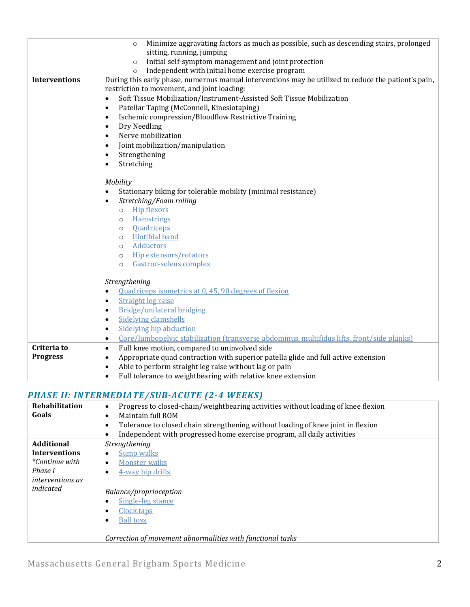|                      | Minimize aggravating factors as much as possible, such as descending stairs, prolonged<br>$\circ$       |  |
|----------------------|---------------------------------------------------------------------------------------------------------|--|
|                      | sitting, running, jumping                                                                               |  |
|                      | Initial self-symptom management and joint protection<br>$\circ$                                         |  |
|                      | Independent with initial home exercise program<br>$\Omega$                                              |  |
| <b>Interventions</b> | During this early phase, numerous manual interventions may be utilized to reduce the patient's pain,    |  |
|                      | restriction to movement, and joint loading:                                                             |  |
|                      | Soft Tissue Mobilization/Instrument-Assisted Soft Tissue Mobilization<br>$\bullet$                      |  |
|                      | Patellar Taping (McConnell, Kinesiotaping)<br>$\bullet$                                                 |  |
|                      | Ischemic compression/Bloodflow Restrictive Training<br>$\bullet$                                        |  |
|                      | Dry Needling<br>$\bullet$                                                                               |  |
|                      | Nerve mobilization<br>$\bullet$                                                                         |  |
|                      | Joint mobilization/manipulation<br>$\bullet$                                                            |  |
|                      | Strengthening<br>$\bullet$                                                                              |  |
|                      | Stretching<br>$\bullet$                                                                                 |  |
|                      |                                                                                                         |  |
|                      | Mobility                                                                                                |  |
|                      | $\bullet$                                                                                               |  |
|                      | Stationary biking for tolerable mobility (minimal resistance)                                           |  |
|                      | Stretching/Foam rolling<br>$\bullet$<br><b>Hip flexors</b><br>$\circ$                                   |  |
|                      | <b>Hamstrings</b><br>$\circ$                                                                            |  |
|                      | <b>Ouadriceps</b><br>$\circ$                                                                            |  |
|                      | <b>Iliotibial band</b><br>$\circ$                                                                       |  |
|                      | <b>Adductors</b><br>$\circ$                                                                             |  |
|                      | Hip extensors/rotators<br>$\circ$                                                                       |  |
|                      | Gastroc-soleus complex<br>$\circ$                                                                       |  |
|                      |                                                                                                         |  |
|                      | Strengthening                                                                                           |  |
|                      | Quadriceps isometrics at 0, 45, 90 degrees of flexion<br>$\bullet$                                      |  |
|                      | <b>Straight leg raise</b><br>$\bullet$                                                                  |  |
|                      | Bridge/unilateral bridging<br>$\bullet$                                                                 |  |
|                      | <b>Sidelying clamshells</b><br>$\bullet$                                                                |  |
|                      | <b>Sidelving hip abduction</b><br>$\bullet$                                                             |  |
|                      | Core/lumbopelvic stabilization (transverse abdominus, multifidus lifts, front/side planks)<br>$\bullet$ |  |
| Criteria to          | Full knee motion, compared to uninvolved side<br>$\bullet$                                              |  |
| <b>Progress</b>      | Appropriate quad contraction with superior patella glide and full active extension                      |  |
|                      | $\bullet$<br>Able to perform straight leg raise without lag or pain<br>$\bullet$                        |  |
|                      | Full tolerance to weightbearing with relative knee extension                                            |  |
|                      | $\bullet$                                                                                               |  |

## *PHASE II: INTERMEDIATE/SUB-ACUTE (2-4 WEEKS)*

| Rehabilitation          | Progress to closed-chain/weightbearing activities without loading of knee flexion<br>$\bullet$ |
|-------------------------|------------------------------------------------------------------------------------------------|
| Goals                   | Maintain full ROM<br>$\bullet$                                                                 |
|                         | Tolerance to closed chain strengthening without loading of knee joint in flexion<br>٠          |
|                         | Independent with progressed home exercise program, all daily activities<br>$\bullet$           |
| <b>Additional</b>       | Strengthening                                                                                  |
| <b>Interventions</b>    | Sumo walks<br>٠                                                                                |
| <i>*Continue with</i>   | Monster walks<br>٠                                                                             |
| Phase I                 | 4-way hip drills<br>٠                                                                          |
| <i>interventions as</i> |                                                                                                |
| indicated               | Balance/proprioception                                                                         |
|                         | Single-leg stance<br>٠                                                                         |
|                         | Clock taps<br>$\bullet$                                                                        |
|                         | <b>Ball toss</b>                                                                               |
|                         |                                                                                                |
|                         | Correction of movement abnormalities with functional tasks                                     |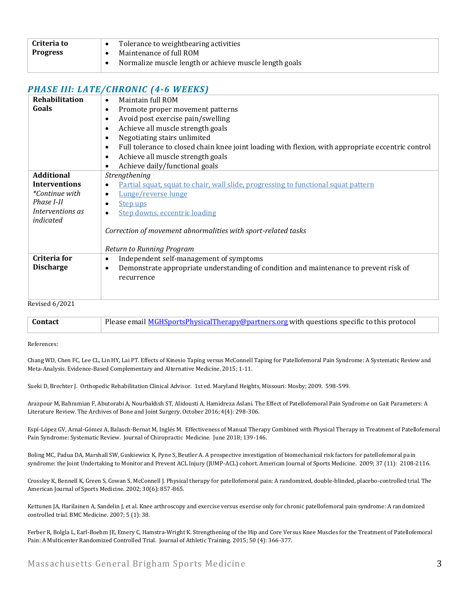| Criteria to | Tolerance to weightbearing activities                  |
|-------------|--------------------------------------------------------|
| Progress    | Maintenance of full ROM                                |
|             | Normalize muscle length or achieve muscle length goals |

## *PHASE III: LATE/CHRONIC (4-6 WEEKS)*

| Rehabilitation        | Maintain full ROM<br>$\bullet$                                                                                  |
|-----------------------|-----------------------------------------------------------------------------------------------------------------|
| Goals                 | Promote proper movement patterns<br>$\bullet$                                                                   |
|                       | Avoid post exercise pain/swelling<br>$\bullet$                                                                  |
|                       | Achieve all muscle strength goals<br>$\bullet$                                                                  |
|                       | Negotiating stairs unlimited<br>$\bullet$                                                                       |
|                       | Full tolerance to closed chain knee joint loading with flexion, with appropriate eccentric control<br>$\bullet$ |
|                       | Achieve all muscle strength goals<br>$\bullet$                                                                  |
|                       | Achieve daily/functional goals<br>$\bullet$                                                                     |
| <b>Additional</b>     | Strengthening                                                                                                   |
| <b>Interventions</b>  | Partial squat, squat to chair, wall slide, progressing to functional squat pattern<br>$\bullet$                 |
| <i>*Continue with</i> | Lunge/reverse lunge<br>$\bullet$                                                                                |
| Phase I-II            | <b>Step ups</b><br>$\bullet$                                                                                    |
| Interventions as      | <b>Step downs, eccentric loading</b><br>$\bullet$                                                               |
| indicated             |                                                                                                                 |
|                       | Correction of movement abnormalities with sport-related tasks                                                   |
|                       |                                                                                                                 |
|                       | Return to Running Program                                                                                       |
| Criteria for          | Independent self-management of symptoms<br>$\bullet$                                                            |
| <b>Discharge</b>      | Demonstrate appropriate understanding of condition and maintenance to prevent risk of<br>$\bullet$              |
|                       | recurrence                                                                                                      |
|                       |                                                                                                                 |
|                       |                                                                                                                 |
| <b>Revised 6/2021</b> |                                                                                                                 |

| Contact | Please email <b>MGHSportsPhysicalTherapy@partners.org</b> with questions specific to this protocol |
|---------|----------------------------------------------------------------------------------------------------|

References:

Chang WD, Chen FC, Lee CL, Lin HY, Lai PT. Effects of Kinesio Taping versus McConnell Taping for Patellofemoral Pain Syndrome: A Systematic Review and Meta-Analysis. Evidence-Based Complementary and Alternative Medicine. 2015; 1-11.

Sueki D, Brechter J. Orthopedic Rehabilitation Clinical Advisor. 1st ed. Maryland Heights, Missouri: Mosby; 2009. 598-599.

Arazpour M, Bahramian F, Abutorabi A, Nourbakhsh ST, Alidousti A, Hamidreza Aslani. The Effect of Patellofemoral Pain Syndrome on Gait Parameters: A Literature Review. The Archives of Bone and Joint Surgery. October 2016; 4(4): 298-306.

Espí-López GV, Arnal-Gómez A, Balasch-Bernat M, Inglés M. Effectiveness of Manual Therapy Combined with Physical Therapy in Treatment of Patellofemoral Pain Syndrome: Systematic Review. Journal of Chiropractic Medicine. June 2018; 139-146.

Boling MC, Padua DA, Marshall SW, Guskiewicz K, Pyne S, Beutler A. A prospective investigation of biomechanical risk factors for patellofemoral pain syndrome: the Joint Undertaking to Monitor and Prevent ACL Injury (JUMP-ACL) cohort. American Journal of Sports Medicine. 2009; 37 (11): 2108-2116.

Crossley K, Bennell K, Green S, Cowan S, McConnell J. Physical therapy for patellofemoral pain: A randomized, double-blinded, placebo-controlled trial. The American Journal of Sports Medicine. 2002; 30(6): 857-865.

Kettunen JA, Harilainen A, Sandelin J, et al. Knee arthroscopy and exercise versus exercise only for chronic patellofemoral pain syndrome: A randomized controlled trial. BMC Medicine. 2007; 5 (1): 38.

Ferber R, Bolgla L, Earl-Boehm JE, Emery C, Hamstra-Wright K. Strengthening of the Hip and Core Versus Knee Muscles for the Treatment of Patellofemoral Pain: A Multicenter Randomized Controlled Trial. Journal of Athletic Training. 2015; 50 (4): 366-377.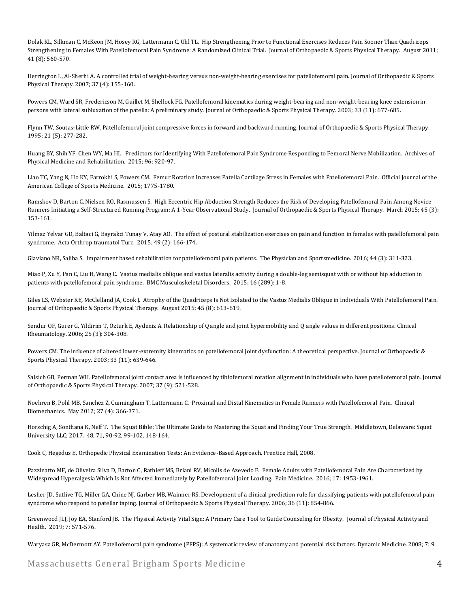Dolak KL, Silkman C, McKeon JM, Hosey RG, Lattermann C, Uhl TL. Hip Strengthening Prior to Functional Exercises Reduces Pain Sooner Than Quadriceps Strengthening in Females With Patellofemoral Pain Syndrome: A Randomized Clinical Trial. Journal of Orthopaedic & Sports Physical Therapy. August 2011; 41 (8): 560-570.

Herrington L, Al-Sherhi A. A controlled trial of weight-bearing versus non-weight-bearing exercises for patellofemoral pain. Journal of Orthopaedic & Sports Physical Therapy. 2007; 37 (4): 155-160.

Powers CM, Ward SR, Fredericson M, Guillet M, Shellock FG. Patellofemoral kinematics during weight-bearing and non-weight-bearing knee extension in persons with lateral subluxation of the patella: A preliminary study. Journal of Orthopaedic & Sports Physical Therapy. 2003; 33 (11): 677-685.

Flynn TW, Soutas-Little RW. Patellofemoral joint compressive forces in forward and backward running. Journal of Orthopaedic & Sports Physical Therapy. 1995; 21 (5): 277-282.

Huang BY, Shih YF, Chen WY, Ma HL. Predictors for Identifying With Patellofemoral Pain Syndrome Responding to Femoral Nerve Mobilization. Archives of Physical Medicine and Rehabilitation. 2015; 96: 920-97.

Liao TC, Yang N, Ho KY, Farrokhi S, Powers CM. Femur Rotation Increases Patella Cartilage Stress in Females with Patellofemoral Pain. Official Journal of the American College of Sports Medicine. 2015; 1775-1780.

Ramskov D, Barton C, Nielsen RO, Rasmussen S. High Eccentric Hip Abduction Strength Reduces the Risk of Developing Patellofemoral Pain Among Novice Runners Initiating a Self-Structured Running Program: A 1-Year Observational Study. Journal of Orthopaedic & Sports Physical Therapy. March 2015; 45 (3): 153-161.

Yilmaz Yelvar GD, Baltaci G, Bayrakci Tunay V, Atay AO. The effect of postural stabilization exercises on pain and function in females with patellofemoral pain syndrome. Acta Orthrop traumatol Turc. 2015; 49 (2): 166-174.

Glaviano NR, Saliba S. Impairment based rehabilitation for patellofemoral pain patients. The Physician and Sportsmedicine. 2016; 44 (3): 311-323.

Miao P, Xu Y, Pan C, Liu H, Wang C. Vastus medialis oblique and vastus lateralis activity during a double-leg semisquat with or without hip adduction in patients with patellofemoral pain syndrome. BMC Musculoskeletal Disorders. 2015; 16 (289): 1-8.

Giles LS, Webster KE, McClelland JA, Cook J. Atrophy of the Quadriceps Is Not Isolated to the Vastus Medialis Oblique in Individuals With Patellofemoral Pain. Journal of Orthopaedic & Sports Physical Therapy. August 2015; 45 (8): 613-619.

Sendur OF, Gurer G, Yildirim T, Ozturk E, Aydeniz A. Relationship of Q angle and joint hypermobility and Q angle values in different positions. Clinical Rheumatology. 2006; 25 (3): 304-308.

Powers CM. The influence of altered lower-extremity kinematics on patellofemoral joint dysfunction: A theoretical perspective. Journal of Orthopaedic & Sports Physical Therapy. 2003; 33 (11): 639-646.

Salsich GB, Perman WH. Patellofemoral joint contact area is influenced by tibiofemoral rotation alignment in individuals who have patellofemoral pain. Journal of Orthopaedic & Sports Physical Therapy. 2007; 37 (9): 521-528.

Noehren B, Pohl MB, Sanchez Z, Cunningham T, Lattermann C. Proximal and Distal Kinematics in Female Runners with Patellofemoral Pain. Clinical Biomechanics. May 2012; 27 (4): 366-371.

Horschig A, Sonthana K, Neff T. The Squat Bible: The Ultimate Guide to Mastering the Squat and Finding Your True Strength. Middletown, Delaware: Squat University LLC; 2017. 48, 71, 90-92, 99-102, 148-164.

Cook C, Hegedus E. Orthopedic Physical Examination Tests: An Evidence-Based Approach. Prentice Hall, 2008.

Pazzinatto MF, de Oliveira Silva D, Barton C, Rathleff MS, Briani RV, Micolis de Azevedo F. Female Adults with Patellofemoral Pain Are Characterized by Widespread Hyperalgesia Which Is Not Affected Immediately by Patellofemoral Joint Loading. Pain Medicine. 2016; 17: 1953-1961.

Lesher JD, Sutlive TG, Miller GA, Chine NJ, Garber MB, Wainner RS. Development of a clinical prediction rule for classifying patients with patellofemoral pain syndrome who respond to patellar taping. Journal of Orthopaedic & Sports Physical Therapy. 2006; 36 (11): 854-866.

Greenwood JLJ, Joy EA, Stanford JB. The Physical Activity Vital Sign: A Primary Care Tool to Guide Counseling for Obesity. Journal of Physical Activity and Health. 2019; 7: 571-576.

Waryasz GR, McDermott AY. Patellofemoral pain syndrome (PFPS): A systematic review of anatomy and potential risk factors. Dynamic Medicine. 2008; 7: 9.

Massachusetts General Brigham Sports Medicine 4